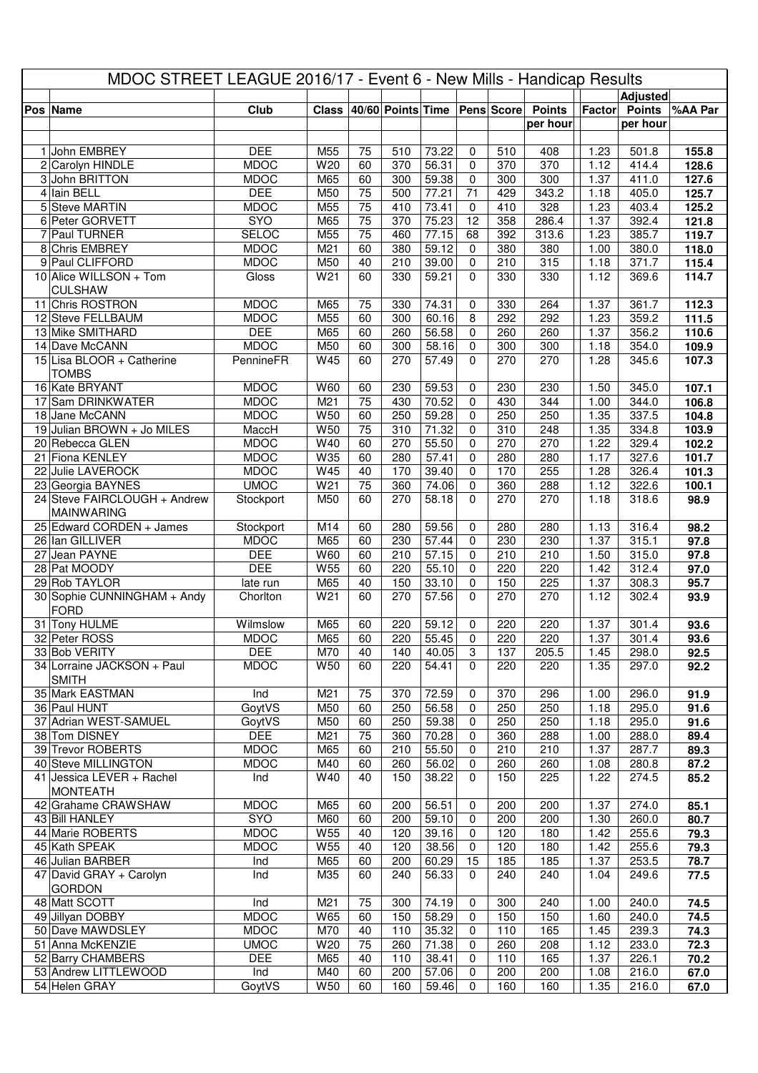| MDOC STREET LEAGUE 2016/17 - Event 6 - New Mills - Handicap Results |                                             |                          |                 |                 |                                    |                    |                   |            |               |                           |                 |              |
|---------------------------------------------------------------------|---------------------------------------------|--------------------------|-----------------|-----------------|------------------------------------|--------------------|-------------------|------------|---------------|---------------------------|-----------------|--------------|
|                                                                     |                                             |                          |                 |                 |                                    |                    |                   |            |               |                           | <b>Adjusted</b> |              |
|                                                                     | Pos Name                                    | Club                     |                 |                 | Class 40/60 Points Time Pens Score |                    |                   |            | <b>Points</b> | Factor                    | <b>Points</b>   | %AA Par      |
|                                                                     |                                             |                          |                 |                 |                                    |                    |                   |            | per hour      |                           | per hour        |              |
|                                                                     | 1 John EMBREY                               | <b>DEE</b>               | M55             | 75              | 510                                | 73.22              | $\mathbf 0$       | 510        | 408           | 1.23                      | 501.8           | 155.8        |
|                                                                     | 2 Carolyn HINDLE                            | <b>MDOC</b>              | W <sub>20</sub> | 60              | 370                                | 56.31              | $\Omega$          | 370        | 370           | 1.12                      | 414.4           | 128.6        |
|                                                                     | 3 John BRITTON                              | <b>MDOC</b>              | M65             | 60              | 300                                | 59.38              | $\pmb{0}$         | 300        | 300           | 1.37                      | 411.0           | 127.6        |
|                                                                     | 4 Iain BELL                                 | <b>DEE</b>               | M50             | 75              | 500                                | 77.21              | 71                | 429        | 343.2         | 1.18                      | 405.0           | 125.7        |
|                                                                     | 5 Steve MARTIN                              | <b>MDOC</b>              | M55             | 75              | 410                                | 73.41              | 0                 | 410        | 328           | 1.23                      | 403.4           | 125.2        |
|                                                                     | 6 Peter GORVETT                             | SYO                      | M65             | $\overline{75}$ | 370                                | 75.23              | 12                | 358        | 286.4         | 1.37                      | 392.4           | 121.8        |
|                                                                     | 7 Paul TURNER                               | <b>SELOC</b>             | M55             | 75              | 460                                | 77.15              | 68                | 392        | 313.6         | 1.23                      | 385.7           | 119.7        |
|                                                                     | 8 Chris EMBREY                              | <b>MDOC</b>              | M21             | 60              | 380                                | 59.12              | $\mathbf 0$       | 380        | 380           | 1.00                      | 380.0           | 118.0        |
|                                                                     | 9 Paul CLIFFORD                             | <b>MDOC</b>              | M50             | 40              | 210                                | 39.00              | 0                 | 210        | 315           | 1.18                      | 371.7           | 115.4        |
|                                                                     | 10 Alice WILLSON + Tom                      | Gloss                    | W <sub>21</sub> | 60              | 330                                | 59.21              | $\Omega$          | 330        | 330           | 1.12                      | 369.6           | 114.7        |
|                                                                     | <b>CULSHAW</b>                              |                          |                 |                 |                                    |                    |                   |            |               |                           |                 |              |
|                                                                     | 11 Chris ROSTRON                            | <b>MDOC</b>              | M65             | 75              | 330                                | 74.31              | 0                 | 330        | 264           | 1.37                      | 361.7           | 112.3        |
|                                                                     | 12 Steve FELLBAUM                           | <b>MDOC</b>              | M55             | 60              | 300                                | 60.16              | 8                 | 292        | 292           | 1.23                      | 359.2           | 111.5        |
|                                                                     | 13 Mike SMITHARD                            | <b>DEE</b>               | M65             | 60              | 260                                | 56.58              | $\mathbf 0$       | 260        | 260           | 1.37                      | 356.2           | 110.6        |
|                                                                     | 14 Dave McCANN                              | <b>MDOC</b><br>PennineFR | M50<br>W45      | 60<br>60        | 300<br>270                         | 58.16<br>57.49     | 0<br>$\Omega$     | 300<br>270 | 300<br>270    | $1.\overline{18}$<br>1.28 | 354.0           | 109.9        |
|                                                                     | 15 Lisa BLOOR + Catherine<br><b>TOMBS</b>   |                          |                 |                 |                                    |                    |                   |            |               |                           | 345.6           | 107.3        |
|                                                                     | 16 Kate BRYANT                              | <b>MDOC</b>              | W60             | 60              | 230                                | 59.53              | 0                 | 230        | 230           | 1.50                      | 345.0           | 107.1        |
|                                                                     | 17 Sam DRINKWATER                           | <b>MDOC</b>              | M <sub>21</sub> | 75              | 430                                | 70.52              | $\mathbf 0$       | 430        | 344           | 1.00                      | 344.0           | 106.8        |
|                                                                     | 18 Jane McCANN                              | <b>MDOC</b>              | W50             | 60              | 250                                | 59.28              | 0                 | 250        | 250           | 1.35                      | 337.5           | 104.8        |
|                                                                     | 19 Julian BROWN + Jo MILES                  | MaccH                    | W50             | 75              | 310                                | 71.32              | 0                 | 310        | 248           | 1.35                      | 334.8           | 103.9        |
|                                                                     | 20 Rebecca GLEN                             | <b>MDOC</b>              | W40             | 60              | 270                                | 55.50              | $\Omega$          | 270        | 270           | 1.22                      | 329.4           | 102.2        |
|                                                                     | 21 Fiona KENLEY                             | <b>MDOC</b>              | W35             | 60              | 280                                | 57.41              | $\mathbf 0$       | 280        | 280           | 1.17                      | 327.6           | 101.7        |
|                                                                     | 22 Julie LAVEROCK                           | <b>MDOC</b>              | W45             | 40              | 170                                | 39.40              | $\mathbf 0$       | 170        | 255           | 1.28                      | 326.4           | 101.3        |
|                                                                     | 23 Georgia BAYNES                           | <b>UMOC</b>              | W <sub>21</sub> | 75              | 360                                | 74.06              | $\mathbf 0$       | 360        | 288           | 1.12                      | 322.6           | 100.1        |
|                                                                     | 24 Steve FAIRCLOUGH + Andrew                | Stockport                | M50             | 60              | 270                                | 58.18              | $\Omega$          | 270        | 270           | 1.18                      | 318.6           | 98.9         |
|                                                                     | <b>MAINWARING</b>                           |                          |                 |                 |                                    |                    |                   |            |               |                           |                 |              |
|                                                                     | 25 Edward CORDEN + James                    | Stockport                | M14             | 60              | 280                                | 59.56              | $\mathbf 0$       | 280        | 280           | 1.13                      | 316.4           | 98.2         |
|                                                                     | 26 Ian GILLIVER                             | <b>MDOC</b>              | M65             | 60              | 230                                | 57.44              | $\mathbf 0$       | 230        | 230           | 1.37                      | 315.1           | 97.8         |
|                                                                     | 27 Jean PAYNE                               | <b>DEE</b>               | W60             | 60              | 210                                | 57.15              | $\mathbf 0$       | 210        | 210           | 1.50                      | 315.0           | 97.8         |
|                                                                     | 28 Pat MOODY                                | <b>DEE</b>               | W55             | 60              | 220                                | 55.10              | $\mathbf 0$       | 220        | 220           | 1.42                      | 312.4           | 97.0         |
|                                                                     | 29 Rob TAYLOR                               | late run                 | M65             | 40              | 150                                | 33.10              | 0                 | 150        | 225           | 1.37                      | 308.3           | 95.7         |
|                                                                     | 30 Sophie CUNNINGHAM + Andy                 | Chorlton                 | W21             | 60              | 270                                | 57.56              | $\Omega$          | 270        | 270           | 1.12                      | 302.4           | 93.9         |
|                                                                     | <b>FORD</b>                                 | Wilmslow                 |                 |                 |                                    | 59.12              |                   |            |               |                           | 301.4           |              |
|                                                                     | 31 Tony HULME<br>32 Peter ROSS              | <b>MDOC</b>              | M65<br>M65      | 60<br>60        | 220<br>220                         | 55.45              | $\mathbf 0$<br>0  | 220<br>220 | 220<br>220    | 1.37<br>1.37              | 301.4           | 93.6<br>93.6 |
|                                                                     | 33 Bob VERITY                               | <b>DEE</b>               | M70             | 40              | 140                                | 40.05              | 3                 | 137        | 205.5         | 1.45                      | 298.0           | 92.5         |
|                                                                     | 34 Lorraine JACKSON + Paul                  | <b>MDOC</b>              | W50             | 60              | 220                                | 54.41              | $\Omega$          | 220        | 220           | 1.35                      | 297.0           | 92.2         |
|                                                                     | <b>SMITH</b>                                |                          |                 |                 |                                    |                    |                   |            |               |                           |                 |              |
|                                                                     | 35 Mark EASTMAN                             | Ind                      | M21             | 75              | 370                                | 72.59              | 0                 | 370        | 296           | 1.00                      | 296.0           | 91.9         |
|                                                                     | 36 Paul HUNT                                | GoytVS                   | M50             | 60              | 250                                | 56.58              | 0                 | 250        | 250           | 1.18                      | 295.0           | 91.6         |
|                                                                     | 37 Adrian WEST-SAMUEL                       | GoytVS                   | M50             | 60              | 250                                | 59.38              | $\mathbf 0$       | 250        | 250           | 1.18                      | 295.0           | 91.6         |
|                                                                     | 38 Tom DISNEY                               | <b>DEE</b>               | M21             | 75              | 360                                | 70.28              | 0                 | 360        | 288           | 1.00                      | 288.0           | 89.4         |
|                                                                     | 39 Trevor ROBERTS                           | <b>MDOC</b>              | M65             | 60              | 210                                | 55.50              | 0                 | 210        | 210           | 1.37                      | 287.7           | 89.3         |
|                                                                     | 40 Steve MILLINGTON                         | <b>MDOC</b>              | M40             | 60              | 260                                | 56.02              | $\mathbf 0$       | 260        | 260           | 1.08                      | 280.8           | 87.2         |
|                                                                     | 41 Jessica LEVER + Rachel                   | Ind                      | W40             | 40              | 150                                | 38.22              | 0                 | 150        | 225           | 1.22                      | 274.5           | 85.2         |
|                                                                     | <b>MONTEATH</b>                             |                          |                 |                 |                                    |                    |                   |            |               |                           |                 |              |
|                                                                     | 42 Grahame CRAWSHAW                         | <b>MDOC</b>              | M65             | 60              | 200                                | 56.51              | 0                 | 200        | 200           | 1.37                      | 274.0           | 85.1         |
|                                                                     | 43 Bill HANLEY                              | SYO                      | M60             | 60              | 200                                | 59.10              | 0                 | 200        | 200           | 1.30                      | 260.0           | 80.7         |
|                                                                     | 44 Marie ROBERTS                            | <b>MDOC</b>              | W55             | 40              | 120                                | 39.16              | 0                 | 120        | 180           | 1.42                      | 255.6           | 79.3         |
|                                                                     | 45 Kath SPEAK                               | <b>MDOC</b>              | W55             | 40              | 120                                | 38.56              | $\mathbf 0$       | 120        | 180           | 1.42                      | 255.6           | 79.3         |
|                                                                     | 46 Julian BARBER<br>47 David GRAY + Carolyn | Ind<br>Ind               | M65<br>M35      | 60<br>60        | 200<br>240                         | 60.29<br>56.33     | 15<br>$\mathbf 0$ | 185<br>240 | 185<br>240    | 1.37<br>1.04              | 253.5<br>249.6  | 78.7<br>77.5 |
|                                                                     | <b>GORDON</b>                               |                          |                 |                 |                                    |                    |                   |            |               |                           |                 |              |
|                                                                     | 48 Matt SCOTT                               | Ind                      | M21             | 75              | 300                                | $\overline{74.19}$ | 0                 | 300        | 240           | 1.00                      | 240.0           | 74.5         |
|                                                                     | 49 Jillyan DOBBY                            | <b>MDOC</b>              | W65             | 60              | 150                                | 58.29              | $\mathbf 0$       | 150        | 150           | 1.60                      | 240.0           | 74.5         |
|                                                                     | 50 Dave MAWDSLEY                            | <b>MDOC</b>              | M70             | 40              | 110                                | 35.32              | $\mathbf 0$       | 110        | 165           | 1.45                      | 239.3           | 74.3         |
|                                                                     | 51 Anna McKENZIE                            | <b>UMOC</b>              | W20             | 75              | 260                                | 71.38              | $\mathbf 0$       | 260        | 208           | 1.12                      | 233.0           | 72.3         |
|                                                                     | 52 Barry CHAMBERS                           | <b>DEE</b>               | M65             | 40              | 110                                | 38.41              | $\mathbf 0$       | 110        | 165           | 1.37                      | 226.1           | 70.2         |
|                                                                     | 53 Andrew LITTLEWOOD                        | Ind                      | M40             | 60              | 200                                | 57.06              | 0                 | 200        | 200           | 1.08                      | 216.0           | 67.0         |
|                                                                     | 54 Helen GRAY                               | GoytVS                   | W50             | 60              | 160                                | 59.46              | 0                 | 160        | 160           | 1.35                      | 216.0           | 67.0         |